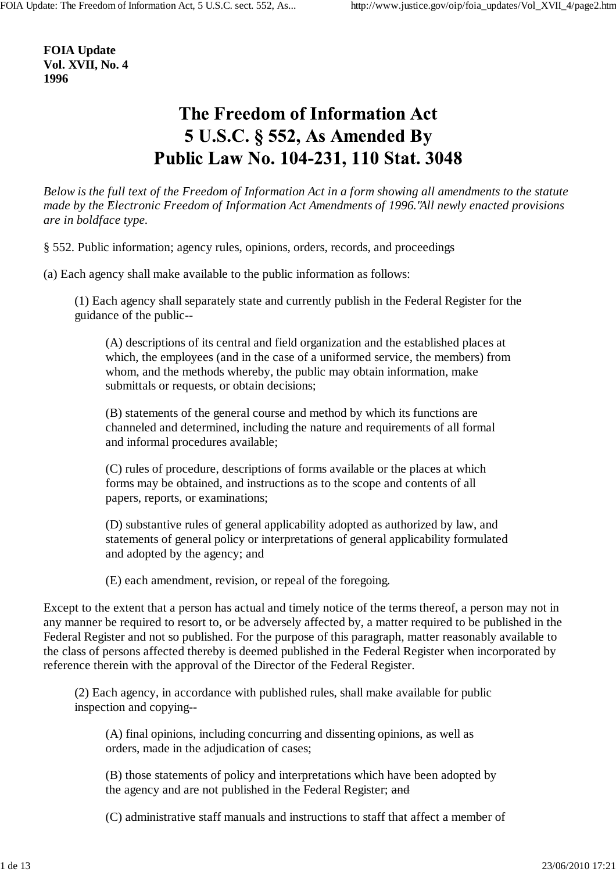**FOIA Update Vol. XVII, No. 4 1996**

## The Freedom of Information Act 5 U.S.C. § 552, As Amended By Public Law No. 104-231, 110 Stat. 3048

*Below is the full text of the Freedom of Information Act in a form showing all amendments to the statute made by the "Electronic Freedom of Information Act Amendments of 1996." All newly enacted provisions are in boldface type.*

§ 552. Public information; agency rules, opinions, orders, records, and proceedings

(a) Each agency shall make available to the public information as follows:

(1) Each agency shall separately state and currently publish in the Federal Register for the guidance of the public--

(A) descriptions of its central and field organization and the established places at which, the employees (and in the case of a uniformed service, the members) from whom, and the methods whereby, the public may obtain information, make submittals or requests, or obtain decisions;

(B) statements of the general course and method by which its functions are channeled and determined, including the nature and requirements of all formal and informal procedures available;

(C) rules of procedure, descriptions of forms available or the places at which forms may be obtained, and instructions as to the scope and contents of all papers, reports, or examinations;

(D) substantive rules of general applicability adopted as authorized by law, and statements of general policy or interpretations of general applicability formulated and adopted by the agency; and

(E) each amendment, revision, or repeal of the foregoing.

Except to the extent that a person has actual and timely notice of the terms thereof, a person may not in any manner be required to resort to, or be adversely affected by, a matter required to be published in the Federal Register and not so published. For the purpose of this paragraph, matter reasonably available to the class of persons affected thereby is deemed published in the Federal Register when incorporated by reference therein with the approval of the Director of the Federal Register.

(2) Each agency, in accordance with published rules, shall make available for public inspection and copying--

(A) final opinions, including concurring and dissenting opinions, as well as orders, made in the adjudication of cases;

(B) those statements of policy and interpretations which have been adopted by the agency and are not published in the Federal Register; and

(C) administrative staff manuals and instructions to staff that affect a member of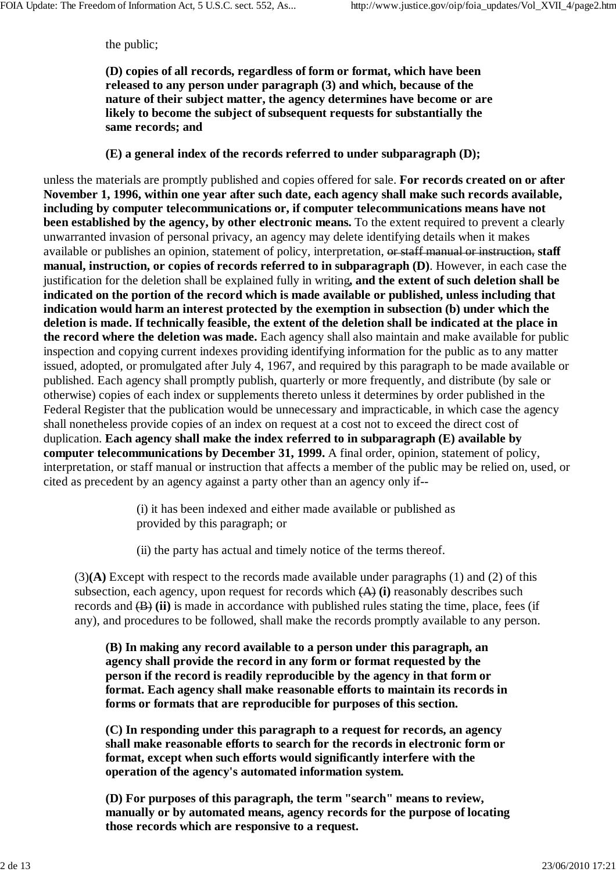the public;

**(D) copies of all records, regardless of form or format, which have been released to any person under paragraph (3) and which, because of the nature of their subject matter, the agency determines have become or are likely to become the subject of subsequent requests for substantially the same records; and**

## **(E) a general index of the records referred to under subparagraph (D);**

unless the materials are promptly published and copies offered for sale. **For records created on or after November 1, 1996, within one year after such date, each agency shall make such records available, including by computer telecommunications or, if computer telecommunications means have not been established by the agency, by other electronic means.** To the extent required to prevent a clearly unwarranted invasion of personal privacy, an agency may delete identifying details when it makes available or publishes an opinion, statement of policy, interpretation, or staff manual or instruction, **staff manual, instruction, or copies of records referred to in subparagraph (D)**. However, in each case the justification for the deletion shall be explained fully in writing**, and the extent of such deletion shall be indicated on the portion of the record which is made available or published, unless including that indication would harm an interest protected by the exemption in subsection (b) under which the deletion is made. If technically feasible, the extent of the deletion shall be indicated at the place in the record where the deletion was made.** Each agency shall also maintain and make available for public inspection and copying current indexes providing identifying information for the public as to any matter issued, adopted, or promulgated after July 4, 1967, and required by this paragraph to be made available or published. Each agency shall promptly publish, quarterly or more frequently, and distribute (by sale or otherwise) copies of each index or supplements thereto unless it determines by order published in the Federal Register that the publication would be unnecessary and impracticable, in which case the agency shall nonetheless provide copies of an index on request at a cost not to exceed the direct cost of duplication. **Each agency shall make the index referred to in subparagraph (E) available by computer telecommunications by December 31, 1999.** A final order, opinion, statement of policy, interpretation, or staff manual or instruction that affects a member of the public may be relied on, used, or cited as precedent by an agency against a party other than an agency only if--

> (i) it has been indexed and either made available or published as provided by this paragraph; or

(ii) the party has actual and timely notice of the terms thereof.

(3)**(A)** Except with respect to the records made available under paragraphs (1) and (2) of this subsection, each agency, upon request for records which (A) **(i)** reasonably describes such records and (B) **(ii)** is made in accordance with published rules stating the time, place, fees (if any), and procedures to be followed, shall make the records promptly available to any person.

**(B) In making any record available to a person under this paragraph, an agency shall provide the record in any form or format requested by the person if the record is readily reproducible by the agency in that form or format. Each agency shall make reasonable efforts to maintain its records in forms or formats that are reproducible for purposes of this section.**

**(C) In responding under this paragraph to a request for records, an agency shall make reasonable efforts to search for the records in electronic form or format, except when such efforts would significantly interfere with the operation of the agency's automated information system.**

**(D) For purposes of this paragraph, the term "search" means to review, manually or by automated means, agency records for the purpose of locating those records which are responsive to a request.**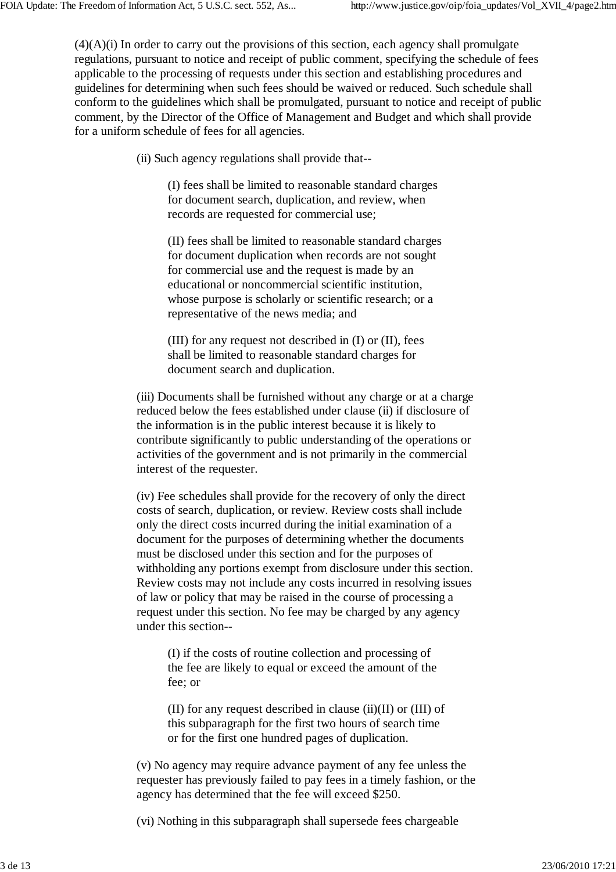$(4)(A)(i)$  In order to carry out the provisions of this section, each agency shall promulgate regulations, pursuant to notice and receipt of public comment, specifying the schedule of fees applicable to the processing of requests under this section and establishing procedures and guidelines for determining when such fees should be waived or reduced. Such schedule shall conform to the guidelines which shall be promulgated, pursuant to notice and receipt of public comment, by the Director of the Office of Management and Budget and which shall provide for a uniform schedule of fees for all agencies.

(ii) Such agency regulations shall provide that--

(I) fees shall be limited to reasonable standard charges for document search, duplication, and review, when records are requested for commercial use;

(II) fees shall be limited to reasonable standard charges for document duplication when records are not sought for commercial use and the request is made by an educational or noncommercial scientific institution, whose purpose is scholarly or scientific research; or a representative of the news media; and

(III) for any request not described in (I) or (II), fees shall be limited to reasonable standard charges for document search and duplication.

(iii) Documents shall be furnished without any charge or at a charge reduced below the fees established under clause (ii) if disclosure of the information is in the public interest because it is likely to contribute significantly to public understanding of the operations or activities of the government and is not primarily in the commercial interest of the requester.

(iv) Fee schedules shall provide for the recovery of only the direct costs of search, duplication, or review. Review costs shall include only the direct costs incurred during the initial examination of a document for the purposes of determining whether the documents must be disclosed under this section and for the purposes of withholding any portions exempt from disclosure under this section. Review costs may not include any costs incurred in resolving issues of law or policy that may be raised in the course of processing a request under this section. No fee may be charged by any agency under this section--

(I) if the costs of routine collection and processing of the fee are likely to equal or exceed the amount of the fee; or

(II) for any request described in clause (ii)(II) or (III) of this subparagraph for the first two hours of search time or for the first one hundred pages of duplication.

(v) No agency may require advance payment of any fee unless the requester has previously failed to pay fees in a timely fashion, or the agency has determined that the fee will exceed \$250.

(vi) Nothing in this subparagraph shall supersede fees chargeable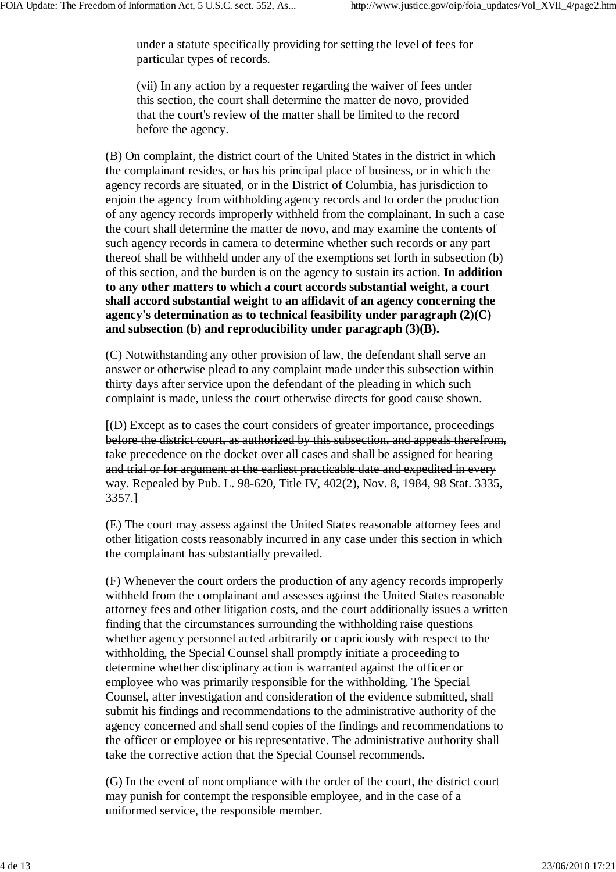under a statute specifically providing for setting the level of fees for particular types of records.

(vii) In any action by a requester regarding the waiver of fees under this section, the court shall determine the matter de novo, provided that the court's review of the matter shall be limited to the record before the agency.

(B) On complaint, the district court of the United States in the district in which the complainant resides, or has his principal place of business, or in which the agency records are situated, or in the District of Columbia, has jurisdiction to enjoin the agency from withholding agency records and to order the production of any agency records improperly withheld from the complainant. In such a case the court shall determine the matter de novo, and may examine the contents of such agency records in camera to determine whether such records or any part thereof shall be withheld under any of the exemptions set forth in subsection (b) of this section, and the burden is on the agency to sustain its action. **In addition to any other matters to which a court accords substantial weight, a court shall accord substantial weight to an affidavit of an agency concerning the agency's determination as to technical feasibility under paragraph (2)(C) and subsection (b) and reproducibility under paragraph (3)(B).**

(C) Notwithstanding any other provision of law, the defendant shall serve an answer or otherwise plead to any complaint made under this subsection within thirty days after service upon the defendant of the pleading in which such complaint is made, unless the court otherwise directs for good cause shown.

[(D) Except as to cases the court considers of greater importance, proceedings before the district court, as authorized by this subsection, and appeals therefrom, take precedence on the docket over all cases and shall be assigned for hearing and trial or for argument at the earliest practicable date and expedited in every way. Repealed by Pub. L. 98-620, Title IV, 402(2), Nov. 8, 1984, 98 Stat. 3335, 3357.]

(E) The court may assess against the United States reasonable attorney fees and other litigation costs reasonably incurred in any case under this section in which the complainant has substantially prevailed.

(F) Whenever the court orders the production of any agency records improperly withheld from the complainant and assesses against the United States reasonable attorney fees and other litigation costs, and the court additionally issues a written finding that the circumstances surrounding the withholding raise questions whether agency personnel acted arbitrarily or capriciously with respect to the withholding, the Special Counsel shall promptly initiate a proceeding to determine whether disciplinary action is warranted against the officer or employee who was primarily responsible for the withholding. The Special Counsel, after investigation and consideration of the evidence submitted, shall submit his findings and recommendations to the administrative authority of the agency concerned and shall send copies of the findings and recommendations to the officer or employee or his representative. The administrative authority shall take the corrective action that the Special Counsel recommends.

(G) In the event of noncompliance with the order of the court, the district court may punish for contempt the responsible employee, and in the case of a uniformed service, the responsible member.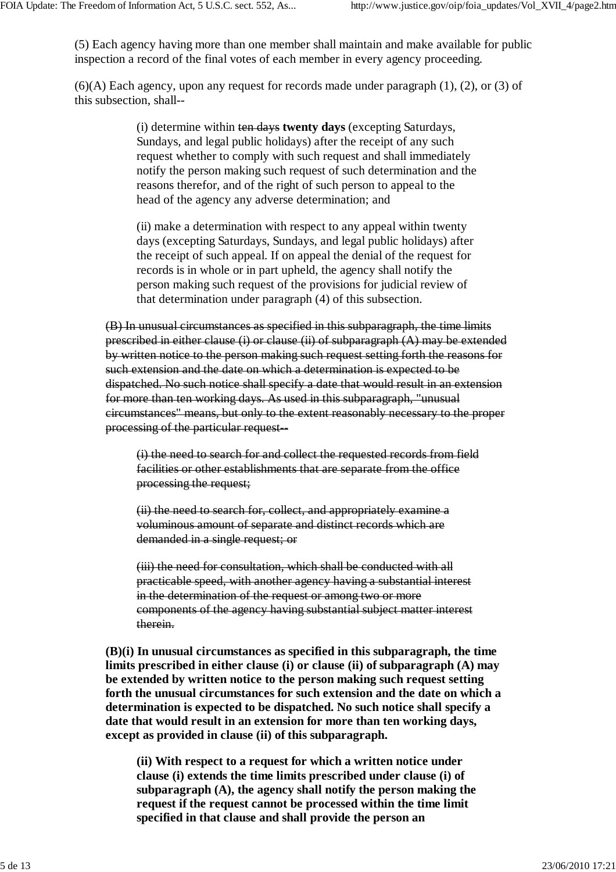(5) Each agency having more than one member shall maintain and make available for public inspection a record of the final votes of each member in every agency proceeding.

 $(6)(A)$  Each agency, upon any request for records made under paragraph  $(1)$ ,  $(2)$ , or  $(3)$  of this subsection, shall--

> (i) determine within ten days **twenty days** (excepting Saturdays, Sundays, and legal public holidays) after the receipt of any such request whether to comply with such request and shall immediately notify the person making such request of such determination and the reasons therefor, and of the right of such person to appeal to the head of the agency any adverse determination; and

(ii) make a determination with respect to any appeal within twenty days (excepting Saturdays, Sundays, and legal public holidays) after the receipt of such appeal. If on appeal the denial of the request for records is in whole or in part upheld, the agency shall notify the person making such request of the provisions for judicial review of that determination under paragraph (4) of this subsection.

(B) In unusual circumstances as specified in this subparagraph, the time limits prescribed in either clause (i) or clause (ii) of subparagraph (A) may be extended by written notice to the person making such request setting forth the reasons for such extension and the date on which a determination is expected to be dispatched. No such notice shall specify a date that would result in an extension for more than ten working days. As used in this subparagraph, "unusual circumstances" means, but only to the extent reasonably necessary to the proper processing of the particular request--

(i) the need to search for and collect the requested records from field facilities or other establishments that are separate from the office processing the request;

(ii) the need to search for, collect, and appropriately examine a voluminous amount of separate and distinct records which are demanded in a single request; or

(iii) the need for consultation, which shall be conducted with all practicable speed, with another agency having a substantial interest in the determination of the request or among two or more components of the agency having substantial subject matter interest therein.

**(B)(i) In unusual circumstances as specified in this subparagraph, the time limits prescribed in either clause (i) or clause (ii) of subparagraph (A) may be extended by written notice to the person making such request setting forth the unusual circumstances for such extension and the date on which a determination is expected to be dispatched. No such notice shall specify a date that would result in an extension for more than ten working days, except as provided in clause (ii) of this subparagraph.**

**(ii) With respect to a request for which a written notice under clause (i) extends the time limits prescribed under clause (i) of subparagraph (A), the agency shall notify the person making the request if the request cannot be processed within the time limit specified in that clause and shall provide the person an**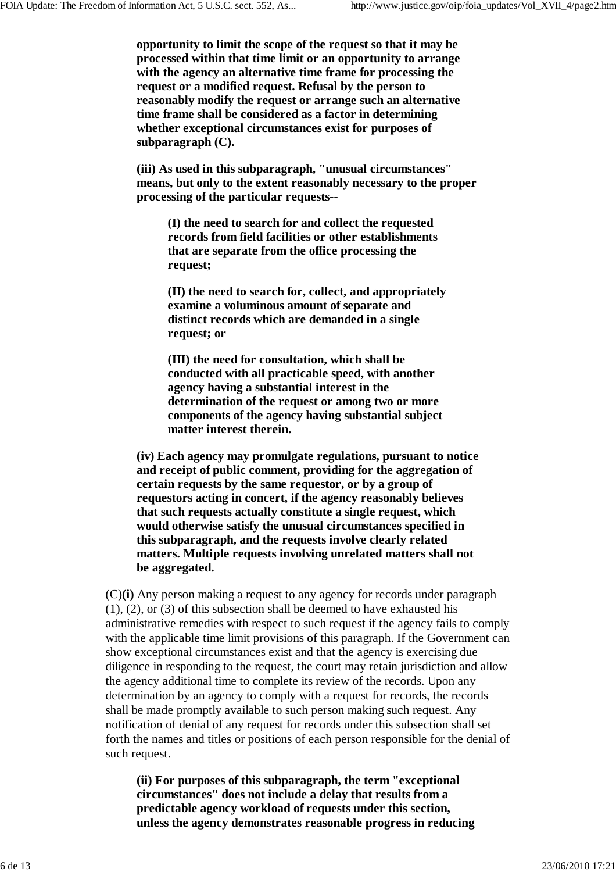**opportunity to limit the scope of the request so that it may be processed within that time limit or an opportunity to arrange with the agency an alternative time frame for processing the request or a modified request. Refusal by the person to reasonably modify the request or arrange such an alternative time frame shall be considered as a factor in determining whether exceptional circumstances exist for purposes of subparagraph (C).**

**(iii) As used in this subparagraph, "unusual circumstances" means, but only to the extent reasonably necessary to the proper processing of the particular requests--**

**(I) the need to search for and collect the requested records from field facilities or other establishments that are separate from the office processing the request;**

**(II) the need to search for, collect, and appropriately examine a voluminous amount of separate and distinct records which are demanded in a single request; or**

**(III) the need for consultation, which shall be conducted with all practicable speed, with another agency having a substantial interest in the determination of the request or among two or more components of the agency having substantial subject matter interest therein.**

**(iv) Each agency may promulgate regulations, pursuant to notice and receipt of public comment, providing for the aggregation of certain requests by the same requestor, or by a group of requestors acting in concert, if the agency reasonably believes that such requests actually constitute a single request, which would otherwise satisfy the unusual circumstances specified in this subparagraph, and the requests involve clearly related matters. Multiple requests involving unrelated matters shall not be aggregated.**

(C)**(i)** Any person making a request to any agency for records under paragraph (1), (2), or (3) of this subsection shall be deemed to have exhausted his administrative remedies with respect to such request if the agency fails to comply with the applicable time limit provisions of this paragraph. If the Government can show exceptional circumstances exist and that the agency is exercising due diligence in responding to the request, the court may retain jurisdiction and allow the agency additional time to complete its review of the records. Upon any determination by an agency to comply with a request for records, the records shall be made promptly available to such person making such request. Any notification of denial of any request for records under this subsection shall set forth the names and titles or positions of each person responsible for the denial of such request.

**(ii) For purposes of this subparagraph, the term "exceptional circumstances" does not include a delay that results from a predictable agency workload of requests under this section, unless the agency demonstrates reasonable progress in reducing**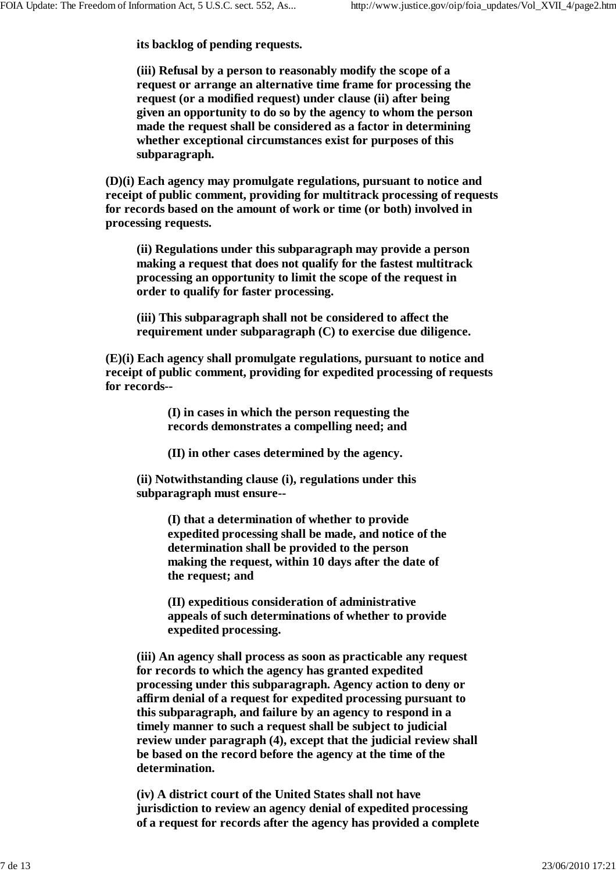**its backlog of pending requests.**

**(iii) Refusal by a person to reasonably modify the scope of a request or arrange an alternative time frame for processing the request (or a modified request) under clause (ii) after being given an opportunity to do so by the agency to whom the person made the request shall be considered as a factor in determining whether exceptional circumstances exist for purposes of this subparagraph.**

**(D)(i) Each agency may promulgate regulations, pursuant to notice and receipt of public comment, providing for multitrack processing of requests for records based on the amount of work or time (or both) involved in processing requests.**

**(ii) Regulations under this subparagraph may provide a person making a request that does not qualify for the fastest multitrack processing an opportunity to limit the scope of the request in order to qualify for faster processing.**

**(iii) This subparagraph shall not be considered to affect the requirement under subparagraph (C) to exercise due diligence.**

**(E)(i) Each agency shall promulgate regulations, pursuant to notice and receipt of public comment, providing for expedited processing of requests for records--**

> **(I) in cases in which the person requesting the records demonstrates a compelling need; and**

**(II) in other cases determined by the agency.**

**(ii) Notwithstanding clause (i), regulations under this subparagraph must ensure--**

> **(I) that a determination of whether to provide expedited processing shall be made, and notice of the determination shall be provided to the person making the request, within 10 days after the date of the request; and**

> **(II) expeditious consideration of administrative appeals of such determinations of whether to provide expedited processing.**

**(iii) An agency shall process as soon as practicable any request for records to which the agency has granted expedited processing under this subparagraph. Agency action to deny or affirm denial of a request for expedited processing pursuant to this subparagraph, and failure by an agency to respond in a timely manner to such a request shall be subject to judicial review under paragraph (4), except that the judicial review shall be based on the record before the agency at the time of the determination.**

**(iv) A district court of the United States shall not have jurisdiction to review an agency denial of expedited processing of a request for records after the agency has provided a complete**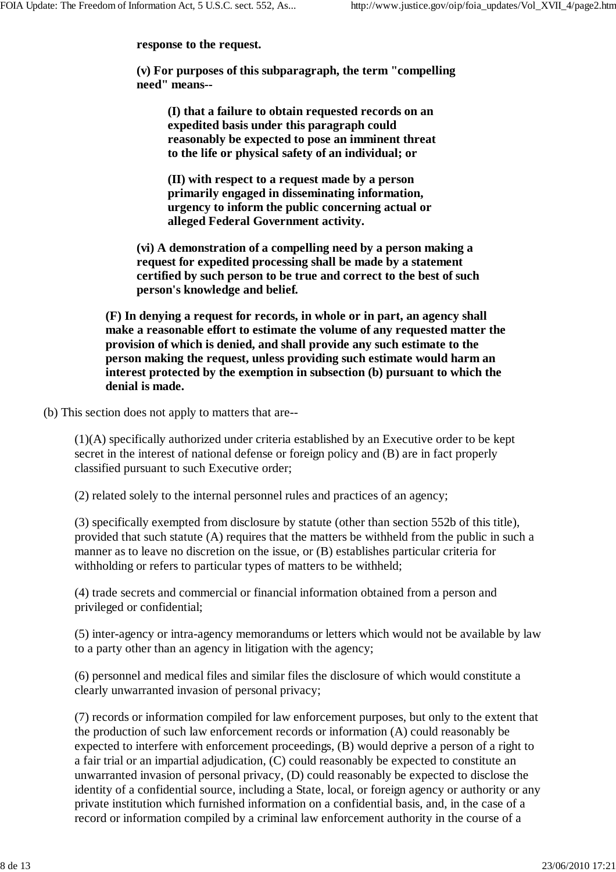**response to the request.**

**(v) For purposes of this subparagraph, the term "compelling need" means--**

**(I) that a failure to obtain requested records on an expedited basis under this paragraph could reasonably be expected to pose an imminent threat to the life or physical safety of an individual; or**

**(II) with respect to a request made by a person primarily engaged in disseminating information, urgency to inform the public concerning actual or alleged Federal Government activity.**

**(vi) A demonstration of a compelling need by a person making a request for expedited processing shall be made by a statement certified by such person to be true and correct to the best of such person's knowledge and belief.**

**(F) In denying a request for records, in whole or in part, an agency shall make a reasonable effort to estimate the volume of any requested matter the provision of which is denied, and shall provide any such estimate to the person making the request, unless providing such estimate would harm an interest protected by the exemption in subsection (b) pursuant to which the denial is made.**

(b) This section does not apply to matters that are--

(1)(A) specifically authorized under criteria established by an Executive order to be kept secret in the interest of national defense or foreign policy and (B) are in fact properly classified pursuant to such Executive order;

(2) related solely to the internal personnel rules and practices of an agency;

(3) specifically exempted from disclosure by statute (other than section 552b of this title), provided that such statute (A) requires that the matters be withheld from the public in such a manner as to leave no discretion on the issue, or (B) establishes particular criteria for withholding or refers to particular types of matters to be withheld;

(4) trade secrets and commercial or financial information obtained from a person and privileged or confidential;

(5) inter-agency or intra-agency memorandums or letters which would not be available by law to a party other than an agency in litigation with the agency;

(6) personnel and medical files and similar files the disclosure of which would constitute a clearly unwarranted invasion of personal privacy;

(7) records or information compiled for law enforcement purposes, but only to the extent that the production of such law enforcement records or information (A) could reasonably be expected to interfere with enforcement proceedings, (B) would deprive a person of a right to a fair trial or an impartial adjudication, (C) could reasonably be expected to constitute an unwarranted invasion of personal privacy, (D) could reasonably be expected to disclose the identity of a confidential source, including a State, local, or foreign agency or authority or any private institution which furnished information on a confidential basis, and, in the case of a record or information compiled by a criminal law enforcement authority in the course of a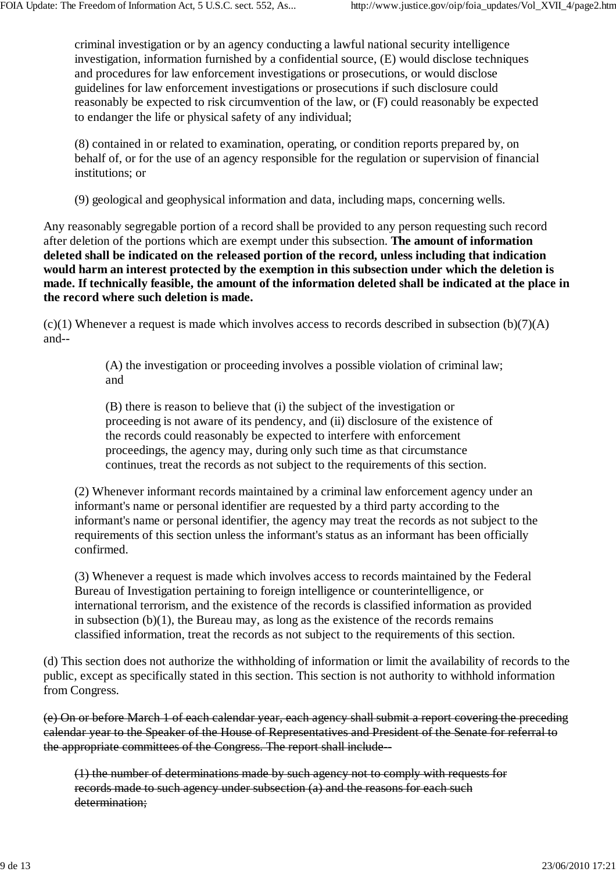criminal investigation or by an agency conducting a lawful national security intelligence investigation, information furnished by a confidential source, (E) would disclose techniques and procedures for law enforcement investigations or prosecutions, or would disclose guidelines for law enforcement investigations or prosecutions if such disclosure could reasonably be expected to risk circumvention of the law, or (F) could reasonably be expected to endanger the life or physical safety of any individual;

(8) contained in or related to examination, operating, or condition reports prepared by, on behalf of, or for the use of an agency responsible for the regulation or supervision of financial institutions; or

(9) geological and geophysical information and data, including maps, concerning wells.

Any reasonably segregable portion of a record shall be provided to any person requesting such record after deletion of the portions which are exempt under this subsection. **The amount of information deleted shall be indicated on the released portion of the record, unless including that indication would harm an interest protected by the exemption in this subsection under which the deletion is made. If technically feasible, the amount of the information deleted shall be indicated at the place in the record where such deletion is made.**

 $(c)(1)$  Whenever a request is made which involves access to records described in subsection  $(b)(7)(A)$ and--

> (A) the investigation or proceeding involves a possible violation of criminal law; and

(B) there is reason to believe that (i) the subject of the investigation or proceeding is not aware of its pendency, and (ii) disclosure of the existence of the records could reasonably be expected to interfere with enforcement proceedings, the agency may, during only such time as that circumstance continues, treat the records as not subject to the requirements of this section.

(2) Whenever informant records maintained by a criminal law enforcement agency under an informant's name or personal identifier are requested by a third party according to the informant's name or personal identifier, the agency may treat the records as not subject to the requirements of this section unless the informant's status as an informant has been officially confirmed.

(3) Whenever a request is made which involves access to records maintained by the Federal Bureau of Investigation pertaining to foreign intelligence or counterintelligence, or international terrorism, and the existence of the records is classified information as provided in subsection  $(b)(1)$ , the Bureau may, as long as the existence of the records remains classified information, treat the records as not subject to the requirements of this section.

(d) This section does not authorize the withholding of information or limit the availability of records to the public, except as specifically stated in this section. This section is not authority to withhold information from Congress.

(e) On or before March 1 of each calendar year, each agency shall submit a report covering the preceding calendar year to the Speaker of the House of Representatives and President of the Senate for referral to the appropriate committees of the Congress. The report shall include--

(1) the number of determinations made by such agency not to comply with requests for records made to such agency under subsection (a) and the reasons for each such determination;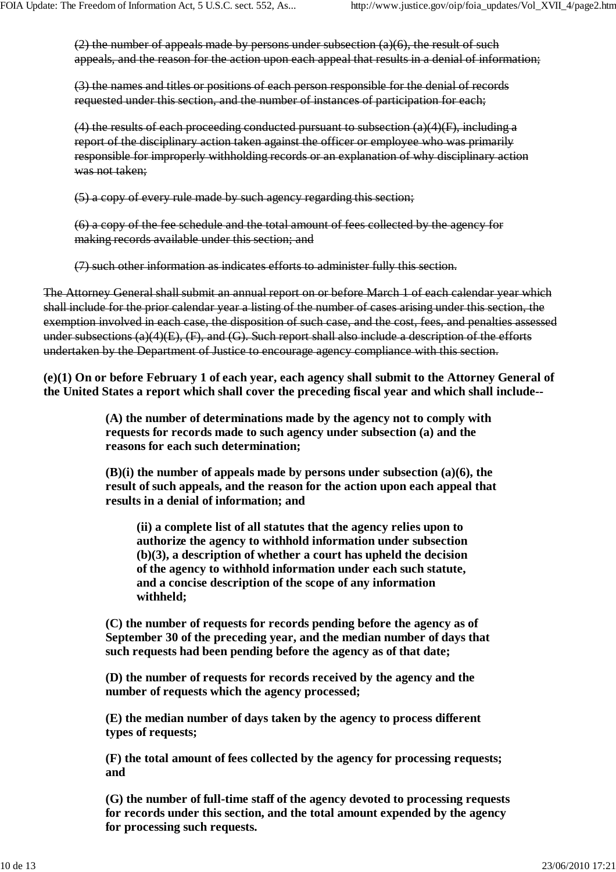$(2)$  the number of appeals made by persons under subsection  $(a)(6)$ , the result of such appeals, and the reason for the action upon each appeal that results in a denial of information;

(3) the names and titles or positions of each person responsible for the denial of records requested under this section, and the number of instances of participation for each;

(4) the results of each proceeding conducted pursuant to subsection  $(a)(4)(F)$ , including a report of the disciplinary action taken against the officer or employee who was primarily responsible for improperly withholding records or an explanation of why disciplinary action was not taken;

(5) a copy of every rule made by such agency regarding this section;

(6) a copy of the fee schedule and the total amount of fees collected by the agency for making records available under this section; and

(7) such other information as indicates efforts to administer fully this section.

The Attorney General shall submit an annual report on or before March 1 of each calendar year which shall include for the prior calendar year a listing of the number of cases arising under this section, the exemption involved in each case, the disposition of such case, and the cost, fees, and penalties assessed under subsections  $(a)(4)(E)$ ,  $(F)$ , and  $(G)$ . Such report shall also include a description of the efforts undertaken by the Department of Justice to encourage agency compliance with this section.

**(e)(1) On or before February 1 of each year, each agency shall submit to the Attorney General of the United States a report which shall cover the preceding fiscal year and which shall include--**

> **(A) the number of determinations made by the agency not to comply with requests for records made to such agency under subsection (a) and the reasons for each such determination;**

**(B)(i) the number of appeals made by persons under subsection (a)(6), the result of such appeals, and the reason for the action upon each appeal that results in a denial of information; and**

**(ii) a complete list of all statutes that the agency relies upon to authorize the agency to withhold information under subsection (b)(3), a description of whether a court has upheld the decision of the agency to withhold information under each such statute, and a concise description of the scope of any information withheld;**

**(C) the number of requests for records pending before the agency as of September 30 of the preceding year, and the median number of days that such requests had been pending before the agency as of that date;**

**(D) the number of requests for records received by the agency and the number of requests which the agency processed;**

**(E) the median number of days taken by the agency to process different types of requests;**

**(F) the total amount of fees collected by the agency for processing requests; and**

**(G) the number of full-time staff of the agency devoted to processing requests for records under this section, and the total amount expended by the agency for processing such requests.**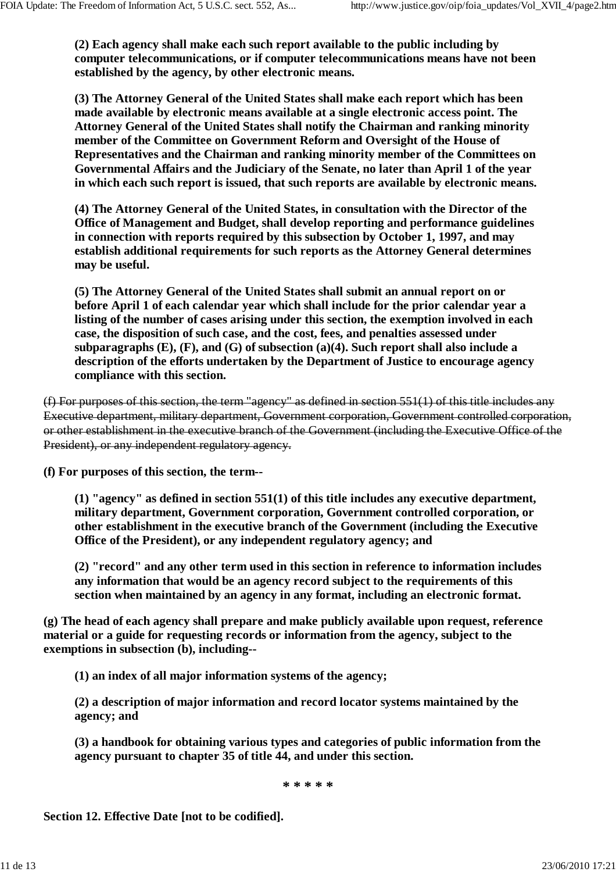**(2) Each agency shall make each such report available to the public including by computer telecommunications, or if computer telecommunications means have not been established by the agency, by other electronic means.**

**(3) The Attorney General of the United States shall make each report which has been made available by electronic means available at a single electronic access point. The Attorney General of the United States shall notify the Chairman and ranking minority member of the Committee on Government Reform and Oversight of the House of Representatives and the Chairman and ranking minority member of the Committees on Governmental Affairs and the Judiciary of the Senate, no later than April 1 of the year in which each such report is issued, that such reports are available by electronic means.**

**(4) The Attorney General of the United States, in consultation with the Director of the Office of Management and Budget, shall develop reporting and performance guidelines in connection with reports required by this subsection by October 1, 1997, and may establish additional requirements for such reports as the Attorney General determines may be useful.**

**(5) The Attorney General of the United States shall submit an annual report on or before April 1 of each calendar year which shall include for the prior calendar year a listing of the number of cases arising under this section, the exemption involved in each case, the disposition of such case, and the cost, fees, and penalties assessed under subparagraphs (E), (F), and (G) of subsection (a)(4). Such report shall also include a description of the efforts undertaken by the Department of Justice to encourage agency compliance with this section.**

(f) For purposes of this section, the term "agency" as defined in section 551(1) of this title includes any Executive department, military department, Government corporation, Government controlled corporation, or other establishment in the executive branch of the Government (including the Executive Office of the President), or any independent regulatory agency.

**(f) For purposes of this section, the term--**

**(1) "agency" as defined in section 551(1) of this title includes any executive department, military department, Government corporation, Government controlled corporation, or other establishment in the executive branch of the Government (including the Executive Office of the President), or any independent regulatory agency; and**

**(2) "record" and any other term used in this section in reference to information includes any information that would be an agency record subject to the requirements of this section when maintained by an agency in any format, including an electronic format.**

**(g) The head of each agency shall prepare and make publicly available upon request, reference material or a guide for requesting records or information from the agency, subject to the exemptions in subsection (b), including--**

**(1) an index of all major information systems of the agency;**

**(2) a description of major information and record locator systems maintained by the agency; and**

**(3) a handbook for obtaining various types and categories of public information from the agency pursuant to chapter 35 of title 44, and under this section.**

**\* \* \* \* \***

**Section 12. Effective Date [not to be codified].**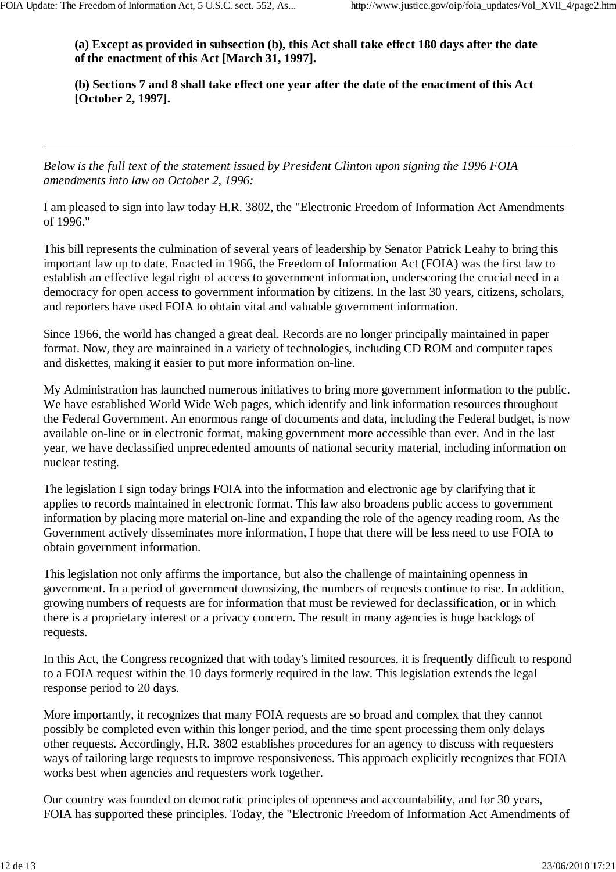**(a) Except as provided in subsection (b), this Act shall take effect 180 days after the date of the enactment of this Act [March 31, 1997].**

**(b) Sections 7 and 8 shall take effect one year after the date of the enactment of this Act [October 2, 1997].**

*Below is the full text of the statement issued by President Clinton upon signing the 1996 FOIA amendments into law on October 2, 1996:*

I am pleased to sign into law today H.R. 3802, the "Electronic Freedom of Information Act Amendments of 1996."

This bill represents the culmination of several years of leadership by Senator Patrick Leahy to bring this important law up to date. Enacted in 1966, the Freedom of Information Act (FOIA) was the first law to establish an effective legal right of access to government information, underscoring the crucial need in a democracy for open access to government information by citizens. In the last 30 years, citizens, scholars, and reporters have used FOIA to obtain vital and valuable government information.

Since 1966, the world has changed a great deal. Records are no longer principally maintained in paper format. Now, they are maintained in a variety of technologies, including CD ROM and computer tapes and diskettes, making it easier to put more information on-line.

My Administration has launched numerous initiatives to bring more government information to the public. We have established World Wide Web pages, which identify and link information resources throughout the Federal Government. An enormous range of documents and data, including the Federal budget, is now available on-line or in electronic format, making government more accessible than ever. And in the last year, we have declassified unprecedented amounts of national security material, including information on nuclear testing.

The legislation I sign today brings FOIA into the information and electronic age by clarifying that it applies to records maintained in electronic format. This law also broadens public access to government information by placing more material on-line and expanding the role of the agency reading room. As the Government actively disseminates more information, I hope that there will be less need to use FOIA to obtain government information.

This legislation not only affirms the importance, but also the challenge of maintaining openness in government. In a period of government downsizing, the numbers of requests continue to rise. In addition, growing numbers of requests are for information that must be reviewed for declassification, or in which there is a proprietary interest or a privacy concern. The result in many agencies is huge backlogs of requests.

In this Act, the Congress recognized that with today's limited resources, it is frequently difficult to respond to a FOIA request within the 10 days formerly required in the law. This legislation extends the legal response period to 20 days.

More importantly, it recognizes that many FOIA requests are so broad and complex that they cannot possibly be completed even within this longer period, and the time spent processing them only delays other requests. Accordingly, H.R. 3802 establishes procedures for an agency to discuss with requesters ways of tailoring large requests to improve responsiveness. This approach explicitly recognizes that FOIA works best when agencies and requesters work together.

Our country was founded on democratic principles of openness and accountability, and for 30 years, FOIA has supported these principles. Today, the "Electronic Freedom of Information Act Amendments of